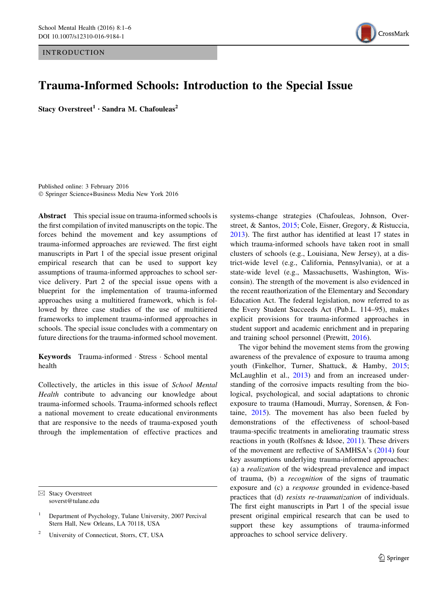**INTRODUCTION** 



# Trauma-Informed Schools: Introduction to the Special Issue

Stacy Overstreet<sup>1</sup> · Sandra M. Chafouleas<sup>2</sup>

Published online: 3 February 2016 - Springer Science+Business Media New York 2016

Abstract This special issue on trauma-informed schools is the first compilation of invited manuscripts on the topic. The forces behind the movement and key assumptions of trauma-informed approaches are reviewed. The first eight manuscripts in Part 1 of the special issue present original empirical research that can be used to support key assumptions of trauma-informed approaches to school service delivery. Part 2 of the special issue opens with a blueprint for the implementation of trauma-informed approaches using a multitiered framework, which is followed by three case studies of the use of multitiered frameworks to implement trauma-informed approaches in schools. The special issue concludes with a commentary on future directions for the trauma-informed school movement.

Keywords Trauma-informed · Stress · School mental health

Collectively, the articles in this issue of School Mental Health contribute to advancing our knowledge about trauma-informed schools. Trauma-informed schools reflect a national movement to create educational environments that are responsive to the needs of trauma-exposed youth through the implementation of effective practices and

 $\boxtimes$  Stacy Overstreet soverst@tulane.edu

<sup>2</sup> University of Connecticut, Storrs, CT, USA

systems-change strategies (Chafouleas, Johnson, Overstreet, & Santos, [2015](#page-4-0); Cole, Eisner, Gregory, & Ristuccia, [2013](#page-4-0)). The first author has identified at least 17 states in which trauma-informed schools have taken root in small clusters of schools (e.g., Louisiana, New Jersey), at a district-wide level (e.g., California, Pennsylvania), or at a state-wide level (e.g., Massachusetts, Washington, Wisconsin). The strength of the movement is also evidenced in the recent reauthorization of the Elementary and Secondary Education Act. The federal legislation, now referred to as the Every Student Succeeds Act (Pub.L. 114–95), makes explicit provisions for trauma-informed approaches in student support and academic enrichment and in preparing and training school personnel (Prewitt, [2016](#page-5-0)).

The vigor behind the movement stems from the growing awareness of the prevalence of exposure to trauma among youth (Finkelhor, Turner, Shattuck, & Hamby, [2015](#page-4-0); McLaughlin et al., [2013\)](#page-4-0) and from an increased understanding of the corrosive impacts resulting from the biological, psychological, and social adaptations to chronic exposure to trauma (Hamoudi, Murray, Sorensen, & Fontaine, [2015](#page-4-0)). The movement has also been fueled by demonstrations of the effectiveness of school-based trauma-specific treatments in ameliorating traumatic stress reactions in youth (Rolfsnes & Idsoe, [2011\)](#page-5-0). These drivers of the movement are reflective of SAMHSA's [\(2014](#page-5-0)) four key assumptions underlying trauma-informed approaches: (a) a realization of the widespread prevalence and impact of trauma, (b) a recognition of the signs of traumatic exposure and (c) a response grounded in evidence-based practices that (d) resists re-traumatization of individuals. The first eight manuscripts in Part 1 of the special issue present original empirical research that can be used to support these key assumptions of trauma-informed approaches to school service delivery.

<sup>1</sup> Department of Psychology, Tulane University, 2007 Percival Stern Hall, New Orleans, LA 70118, USA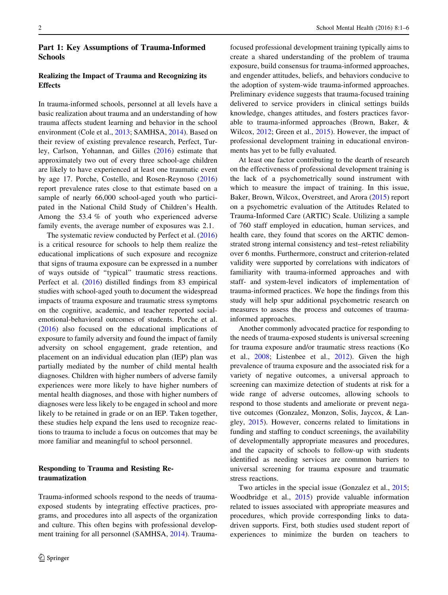### Part 1: Key Assumptions of Trauma-Informed **Schools**

## Realizing the Impact of Trauma and Recognizing its **Effects**

In trauma-informed schools, personnel at all levels have a basic realization about trauma and an understanding of how trauma affects student learning and behavior in the school environment (Cole et al., [2013;](#page-4-0) SAMHSA, [2014](#page-5-0)). Based on their review of existing prevalence research, Perfect, Turley, Carlson, Yohannan, and Gilles ([2016\)](#page-4-0) estimate that approximately two out of every three school-age children are likely to have experienced at least one traumatic event by age 17. Porche, Costello, and Rosen-Reynoso ([2016\)](#page-5-0) report prevalence rates close to that estimate based on a sample of nearly 66,000 school-aged youth who participated in the National Child Study of Children's Health. Among the 53.4 % of youth who experienced adverse family events, the average number of exposures was 2.1.

The systematic review conducted by Perfect et al. ([2016\)](#page-4-0) is a critical resource for schools to help them realize the educational implications of such exposure and recognize that signs of trauma exposure can be expressed in a number of ways outside of ''typical'' traumatic stress reactions. Perfect et al. ([2016\)](#page-4-0) distilled findings from 83 empirical studies with school-aged youth to document the widespread impacts of trauma exposure and traumatic stress symptoms on the cognitive, academic, and teacher reported socialemotional-behavioral outcomes of students. Porche et al. [\(2016](#page-5-0)) also focused on the educational implications of exposure to family adversity and found the impact of family adversity on school engagement, grade retention, and placement on an individual education plan (IEP) plan was partially mediated by the number of child mental health diagnoses. Children with higher numbers of adverse family experiences were more likely to have higher numbers of mental health diagnoses, and those with higher numbers of diagnoses were less likely to be engaged in school and more likely to be retained in grade or on an IEP. Taken together, these studies help expand the lens used to recognize reactions to trauma to include a focus on outcomes that may be more familiar and meaningful to school personnel.

# Responding to Trauma and Resisting Retraumatization

Trauma-informed schools respond to the needs of traumaexposed students by integrating effective practices, programs, and procedures into all aspects of the organization and culture. This often begins with professional development training for all personnel (SAMHSA, [2014](#page-5-0)). Traumafocused professional development training typically aims to create a shared understanding of the problem of trauma exposure, build consensus for trauma-informed approaches, and engender attitudes, beliefs, and behaviors conducive to the adoption of system-wide trauma-informed approaches. Preliminary evidence suggests that trauma-focused training delivered to service providers in clinical settings builds knowledge, changes attitudes, and fosters practices favorable to trauma-informed approaches (Brown, Baker, & Wilcox, [2012](#page-4-0); Green et al., [2015\)](#page-4-0). However, the impact of professional development training in educational environments has yet to be fully evaluated.

At least one factor contributing to the dearth of research on the effectiveness of professional development training is the lack of a psychometrically sound instrument with which to measure the impact of training. In this issue, Baker, Brown, Wilcox, Overstreet, and Arora ([2015](#page-4-0)) report on a psychometric evaluation of the Attitudes Related to Trauma-Informed Care (ARTIC) Scale. Utilizing a sample of 760 staff employed in education, human services, and health care, they found that scores on the ARTIC demonstrated strong internal consistency and test–retest reliability over 6 months. Furthermore, construct and criterion-related validity were supported by correlations with indicators of familiarity with trauma-informed approaches and with staff- and system-level indicators of implementation of trauma-informed practices. We hope the findings from this study will help spur additional psychometric research on measures to assess the process and outcomes of traumainformed approaches.

Another commonly advocated practice for responding to the needs of trauma-exposed students is universal screening for trauma exposure and/or traumatic stress reactions (Ko et al., [2008](#page-4-0); Listenbee et al., [2012\)](#page-4-0). Given the high prevalence of trauma exposure and the associated risk for a variety of negative outcomes, a universal approach to screening can maximize detection of students at risk for a wide range of adverse outcomes, allowing schools to respond to those students and ameliorate or prevent negative outcomes (Gonzalez, Monzon, Solis, Jaycox, & Langley, [2015](#page-4-0)). However, concerns related to limitations in funding and staffing to conduct screenings, the availability of developmentally appropriate measures and procedures, and the capacity of schools to follow-up with students identified as needing services are common barriers to universal screening for trauma exposure and traumatic stress reactions.

Two articles in the special issue (Gonzalez et al., [2015](#page-4-0); Woodbridge et al., [2015](#page-5-0)) provide valuable information related to issues associated with appropriate measures and procedures, which provide corresponding links to datadriven supports. First, both studies used student report of experiences to minimize the burden on teachers to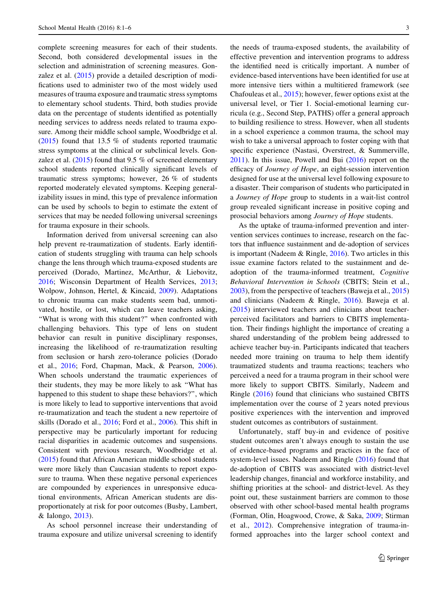complete screening measures for each of their students. Second, both considered developmental issues in the selection and administration of screening measures. Gonzalez et al. [\(2015](#page-4-0)) provide a detailed description of modifications used to administer two of the most widely used measures of trauma exposure and traumatic stress symptoms to elementary school students. Third, both studies provide data on the percentage of students identified as potentially needing services to address needs related to trauma exposure. Among their middle school sample, Woodbridge et al. [\(2015](#page-5-0)) found that 13.5 % of students reported traumatic stress symptoms at the clinical or subclinical levels. Gonzalez et al.  $(2015)$  $(2015)$  found that 9.5 % of screened elementary school students reported clinically significant levels of traumatic stress symptoms; however, 26 % of students reported moderately elevated symptoms. Keeping generalizability issues in mind, this type of prevalence information can be used by schools to begin to estimate the extent of services that may be needed following universal screenings for trauma exposure in their schools.

Information derived from universal screening can also help prevent re-traumatization of students. Early identification of students struggling with trauma can help schools change the lens through which trauma-exposed students are perceived (Dorado, Martinez, McArthur, & Liebovitz, [2016;](#page-4-0) Wisconsin Department of Health Services, [2013](#page-5-0); Wolpow, Johnson, Hertel, & Kincaid, [2009](#page-5-0)). Adaptations to chronic trauma can make students seem bad, unmotivated, hostile, or lost, which can leave teachers asking, ''What is wrong with this student?'' when confronted with challenging behaviors. This type of lens on student behavior can result in punitive disciplinary responses, increasing the likelihood of re-traumatization resulting from seclusion or harsh zero-tolerance policies (Dorado et al., [2016;](#page-4-0) Ford, Chapman, Mack, & Pearson, [2006](#page-4-0)). When schools understand the traumatic experiences of their students, they may be more likely to ask ''What has happened to this student to shape these behaviors?'', which is more likely to lead to supportive interventions that avoid re-traumatization and teach the student a new repertoire of skills (Dorado et al., [2016](#page-4-0); Ford et al., [2006\)](#page-4-0). This shift in perspective may be particularly important for reducing racial disparities in academic outcomes and suspensions. Consistent with previous research, Woodbridge et al. [\(2015](#page-5-0)) found that African American middle school students were more likely than Caucasian students to report exposure to trauma. When these negative personal experiences are compounded by experiences in unresponsive educational environments, African American students are disproportionately at risk for poor outcomes (Busby, Lambert, & Ialongo, [2013](#page-4-0)).

As school personnel increase their understanding of trauma exposure and utilize universal screening to identify the needs of trauma-exposed students, the availability of effective prevention and intervention programs to address the identified need is critically important. A number of evidence-based interventions have been identified for use at more intensive tiers within a multitiered framework (see Chafouleas et al., [2015](#page-4-0)); however, fewer options exist at the universal level, or Tier 1. Social-emotional learning curricula (e.g., Second Step, PATHS) offer a general approach to building resilience to stress. However, when all students in a school experience a common trauma, the school may wish to take a universal approach to foster coping with that specific experience (Nastasi, Overstreet, & Summerville, [2011](#page-4-0)). In this issue, Powell and Bui ([2016](#page-5-0)) report on the efficacy of Journey of Hope, an eight-session intervention designed for use at the universal level following exposure to a disaster. Their comparison of students who participated in a Journey of Hope group to students in a wait-list control group revealed significant increase in positive coping and prosocial behaviors among Journey of Hope students.

As the uptake of trauma-informed prevention and intervention services continues to increase, research on the factors that influence sustainment and de-adoption of services is important (Nadeem & Ringle, [2016](#page-4-0)). Two articles in this issue examine factors related to the sustainment and deadoption of the trauma-informed treatment, Cognitive Behavioral Intervention in Schools (CBITS; Stein et al., [2003](#page-5-0)), from the perspective of teachers (Baweja et al., [2015\)](#page-4-0) and clinicians (Nadeem & Ringle, [2016\)](#page-4-0). Baweja et al. [\(2015](#page-4-0)) interviewed teachers and clinicians about teacherperceived facilitators and barriers to CBITS implementation. Their findings highlight the importance of creating a shared understanding of the problem being addressed to achieve teacher buy-in. Participants indicated that teachers needed more training on trauma to help them identify traumatized students and trauma reactions; teachers who perceived a need for a trauma program in their school were more likely to support CBITS. Similarly, Nadeem and Ringle ([2016\)](#page-4-0) found that clinicians who sustained CBITS implementation over the course of 2 years noted previous positive experiences with the intervention and improved student outcomes as contributors of sustainment.

Unfortunately, staff buy-in and evidence of positive student outcomes aren't always enough to sustain the use of evidence-based programs and practices in the face of system-level issues. Nadeem and Ringle [\(2016](#page-4-0)) found that de-adoption of CBITS was associated with district-level leadership changes, financial and workforce instability, and shifting priorities at the school- and district-level. As they point out, these sustainment barriers are common to those observed with other school-based mental health programs (Forman, Olin, Hoagwood, Crowe, & Saka, [2009;](#page-4-0) Stirman et al., [2012\)](#page-5-0). Comprehensive integration of trauma-informed approaches into the larger school context and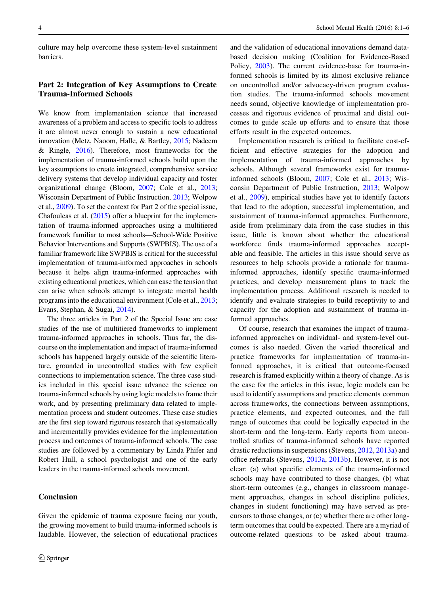culture may help overcome these system-level sustainment barriers.

#### Part 2: Integration of Key Assumptions to Create Trauma-Informed Schools

We know from implementation science that increased awareness of a problem and access to specific tools to address it are almost never enough to sustain a new educational innovation (Metz, Naoom, Halle, & Bartley, [2015](#page-4-0); Nadeem & Ringle, [2016](#page-4-0)). Therefore, most frameworks for the implementation of trauma-informed schools build upon the key assumptions to create integrated, comprehensive service delivery systems that develop individual capacity and foster organizational change (Bloom, [2007;](#page-4-0) Cole et al., [2013](#page-4-0); Wisconsin Department of Public Instruction, [2013;](#page-5-0) Wolpow et al., [2009](#page-5-0)). To set the context for Part 2 of the special issue, Chafouleas et al. ([2015](#page-4-0)) offer a blueprint for the implementation of trauma-informed approaches using a multitiered framework familiar to most schools—School-Wide Positive Behavior Interventions and Supports (SWPBIS). The use of a familiar framework like SWPBIS is critical for the successful implementation of trauma-informed approaches in schools because it helps align trauma-informed approaches with existing educational practices, which can ease the tension that can arise when schools attempt to integrate mental health programs into the educational environment (Cole et al., [2013](#page-4-0); Evans, Stephan, & Sugai, [2014](#page-4-0)).

The three articles in Part 2 of the Special Issue are case studies of the use of multitiered frameworks to implement trauma-informed approaches in schools. Thus far, the discourse on the implementation and impact of trauma-informed schools has happened largely outside of the scientific literature, grounded in uncontrolled studies with few explicit connections to implementation science. The three case studies included in this special issue advance the science on trauma-informed schools by using logic models to frame their work, and by presenting preliminary data related to implementation process and student outcomes. These case studies are the first step toward rigorous research that systematically and incrementally provides evidence for the implementation process and outcomes of trauma-informed schools. The case studies are followed by a commentary by Linda Phifer and Robert Hull, a school psychologist and one of the early leaders in the trauma-informed schools movement.

#### **Conclusion**

Given the epidemic of trauma exposure facing our youth, the growing movement to build trauma-informed schools is laudable. However, the selection of educational practices

and the validation of educational innovations demand databased decision making (Coalition for Evidence-Based Policy, [2003](#page-4-0)). The current evidence-base for trauma-informed schools is limited by its almost exclusive reliance on uncontrolled and/or advocacy-driven program evaluation studies. The trauma-informed schools movement needs sound, objective knowledge of implementation processes and rigorous evidence of proximal and distal outcomes to guide scale up efforts and to ensure that those efforts result in the expected outcomes.

Implementation research is critical to facilitate cost-efficient and effective strategies for the adoption and implementation of trauma-informed approaches by schools. Although several frameworks exist for traumainformed schools (Bloom, [2007;](#page-4-0) Cole et al., [2013;](#page-4-0) Wisconsin Department of Public Instruction, [2013](#page-5-0); Wolpow et al., [2009](#page-5-0)), empirical studies have yet to identify factors that lead to the adoption, successful implementation, and sustainment of trauma-informed approaches. Furthermore, aside from preliminary data from the case studies in this issue, little is known about whether the educational workforce finds trauma-informed approaches acceptable and feasible. The articles in this issue should serve as resources to help schools provide a rationale for traumainformed approaches, identify specific trauma-informed practices, and develop measurement plans to track the implementation process. Additional research is needed to identify and evaluate strategies to build receptivity to and capacity for the adoption and sustainment of trauma-informed approaches.

Of course, research that examines the impact of traumainformed approaches on individual- and system-level outcomes is also needed. Given the varied theoretical and practice frameworks for implementation of trauma-informed approaches, it is critical that outcome-focused research is framed explicitly within a theory of change. As is the case for the articles in this issue, logic models can be used to identify assumptions and practice elements common across frameworks, the connections between assumptions, practice elements, and expected outcomes, and the full range of outcomes that could be logically expected in the short-term and the long-term. Early reports from uncontrolled studies of trauma-informed schools have reported drastic reductions in suspensions (Stevens, [2012,](#page-5-0) [2013a\)](#page-5-0) and office referrals (Stevens, [2013a](#page-5-0), [2013b\)](#page-5-0). However, it is not clear: (a) what specific elements of the trauma-informed schools may have contributed to those changes, (b) what short-term outcomes (e.g., changes in classroom management approaches, changes in school discipline policies, changes in student functioning) may have served as precursors to those changes, or (c) whether there are other longterm outcomes that could be expected. There are a myriad of outcome-related questions to be asked about trauma-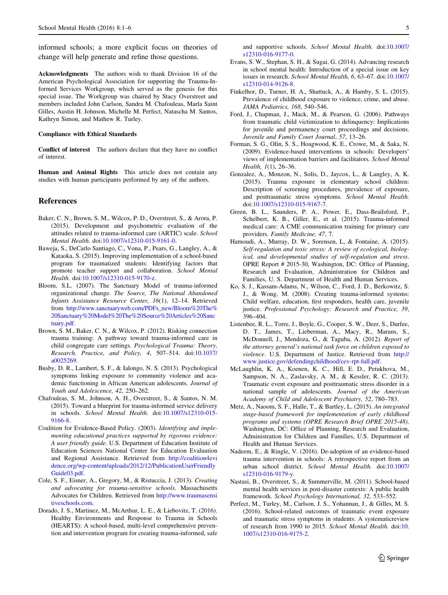<span id="page-4-0"></span>informed schools; a more explicit focus on theories of change will help generate and refine those questions.

Acknowledgments The authors wish to thank Division 16 of the American Psychological Association for supporting the Trauma-Informed Services Workgroup, which served as the genesis for this special issue. The Workgroup was chaired by Stacy Overstreet and members included John Carlson, Sandra M. Chafouleas, Marla Saint Gilles, Austin H. Johnson, Michelle M. Perfect, Natascha M. Santos, Kathryn Simon, and Mathew R. Turley.

#### Compliance with Ethical Standards

Conflict of interest The authors declare that they have no conflict of interest.

Human and Animal Rights This article does not contain any studies with human participants performed by any of the authors.

#### References

- Baker, C. N., Brown, S. M., Wilcox, P. D., Overstreet, S., & Arora, P. (2015). Development and psychometric evaluation of the attitudes related to trauma-informed care (ARTIC) scale. School Mental Health. doi[:10.1007/s12310-015-9161-0.](http://dx.doi.org/10.1007/s12310-015-9161-0)
- Baweja, S., DeCarlo Santiago, C., Vona, P., Pears, G., Langley, A., & Kataoka, S. (2015). Improving implementation of a school-based program for traumatized students: Identifying factors that promote teacher support and collaboration. School Mental Health. doi[:10.1007/s12310-015-9170-z.](http://dx.doi.org/10.1007/s12310-015-9170-z)
- Bloom, S.L. (2007). The Sanctuary Model of trauma-informed organizational change. The Source, The National Abandoned Infants Assistance Resource Center, 16(1), 12–14. Retrieved from [http://www.sanctuaryweb.com/PDFs\\_new/Bloom%20The%](http://www.sanctuaryweb.com/PDFs_new/Bloom%2520The%2520Sanctuary%2520Model%2520The%2520Source%2520Articles%2520Sanctuary.pdf) [20Sanctuary%20Model%20The%20Source%20Articles%20Sanc](http://www.sanctuaryweb.com/PDFs_new/Bloom%2520The%2520Sanctuary%2520Model%2520The%2520Source%2520Articles%2520Sanctuary.pdf) [tuary.pdf](http://www.sanctuaryweb.com/PDFs_new/Bloom%2520The%2520Sanctuary%2520Model%2520The%2520Source%2520Articles%2520Sanctuary.pdf).
- Brown, S. M., Baker, C. N., & Wilcox, P. (2012). Risking connection trauma training: A pathway toward trauma-informed care in child congregate care settings. Psychological Trauma: Theory, Research, Practice, and Policy, 4, 507–514. doi[:10.1037/](http://dx.doi.org/10.1037/a0025269) [a0025269](http://dx.doi.org/10.1037/a0025269).
- Busby, D. R., Lambert, S. F., & Ialongo, N. S. (2013). Psychological symptoms linking exposure to community violence and academic functioning in African American adolescents. Journal of Youth and Adolescence, 42, 250–262.
- Chafouleas, S. M., Johnson, A. H., Overstreet, S., & Santos, N. M. (2015). Toward a blueprint for trauma-informed service delivery in schools. School Mental Health. doi[:10.1007/s12310-015-](http://dx.doi.org/10.1007/s12310-015-9166-8) [9166-8](http://dx.doi.org/10.1007/s12310-015-9166-8).
- Coalition for Evidence-Based Policy. (2003). Identifying and implementing educational practices supported by rigorous evidence: A user friendly guide. U.S. Department of Education Institute of Education Sciences National Center for Education Evaluation and Regional Assistance. Retrieved from [http://coalition4evi](http://coalition4evidence.org/wp-content/uploads/2012/12/PublicationUserFriendlyGuide03.pdf) [dence.org/wp-content/uploads/2012/12/PublicationUserFriendly](http://coalition4evidence.org/wp-content/uploads/2012/12/PublicationUserFriendlyGuide03.pdf) [Guide03.pdf.](http://coalition4evidence.org/wp-content/uploads/2012/12/PublicationUserFriendlyGuide03.pdf)
- Cole, S. F., Eisner, A., Gregory, M., & Ristuccia, J. (2013). Creating and advocating for trauma-sensitive schools. Massachusetts Advocates for Children. Retrieved from [http://www.traumasensi](http://www.traumasensitiveschools.com) [tiveschools.com](http://www.traumasensitiveschools.com).
- Dorado, J. S., Martinez, M., McArthur, L. E., & Liebovitz, T. (2016). Healthy Environments and Response to Trauma in Schools (HEARTS): A school-based, multi-level comprehensive prevention and intervention program for creating trauma-informed, safe

and supportive schools. School Mental Health. doi[:10.1007/](http://dx.doi.org/10.1007/s12310-016-9177-0) [s12310-016-9177-0.](http://dx.doi.org/10.1007/s12310-016-9177-0)

- Evans, S. W., Stephan, S. H., & Sugai, G. (2014). Advancing research in school mental health: Introduction of a special issue on key issues in research. School Mental Health, 6, 63–67. doi[:10.1007/](http://dx.doi.org/10.1007/s12310-014-9126-8) [s12310-014-9126-8.](http://dx.doi.org/10.1007/s12310-014-9126-8)
- Finkelhor, D., Turner, H. A., Shattuck, A., & Hamby, S. L. (2015). Prevalence of childhood exposure to violence, crime, and abuse. JAMA Pediatrics, 168, 540–546.
- Ford, J., Chapman, J., Mack, M., & Pearson, G. (2006). Pathways from traumatic child victimization to delinquency: Implications for juvenile and permanency court proceedings and decisions. Juvenile and Family Court Journal, 57, 13–26.
- Forman, S. G., Olin, S. S., Hoagwood, K. E., Crowe, M., & Saka, N. (2009). Evidence-based interventions in schools: Developers' views of implementation barriers and facilitators. School Mental Health, 1(1), 26–36.
- Gonzalez, A., Monzon, N., Solis, D., Jaycox, L., & Langley, A. K. (2015). Trauma exposure in elementary school children: Description of screening procedures, prevalence of exposure, and posttraumatic stress symptoms. School Mental Health. doi[:10.1007/s12310-015-9167-7](http://dx.doi.org/10.1007/s12310-015-9167-7).
- Green, B. L., Saunders, P. A., Power, E., Dass-Brailsford, P., Schelbert, K. B., Giller, E., et al. (2015). Trauma-informed medical care: A CME communication training for primary care providers. Family Medicine, 47, 7.
- Hamoudi, A., Murray, D. W., Sorensen, L, & Fontaine, A. (2015). Self-regulation and toxic stress: A review of ecological, biological, and developmental studies of self-regulation and stress. OPRE Report # 2015-30, Washington, DC: Office of Planning, Research and Evaluation, Administration for Children and Families, U. S. Department of Health and Human Services.
- Ko, S. J., Kassam-Adams, N., Wilson, C., Ford, J. D., Berkowitz, S. J., & Wong, M. (2008). Creating trauma-informed systems: Child welfare, education, first responders, health care, juvenile justice. Professional Psychology: Research and Practice, 39, 396–404.
- Listenbee, R. L., Torre, J., Boyle, G., Cooper, S. W., Deer, S., Durfee, D. T., James, T., Lieberman, A., Macy, R., Marans, S., McDonnell, J., Mendoza, G., & Taguba, A. (2012). Report of the attorney general's national task force on children exposed to violence. U.S. Department of Justice. Retrieved from [http://](http://www.justice.gov/defendingchildhood/cev-rpt-full.pdf) [www.justice.gov/defendingchildhood/cev-rpt-full.pdf](http://www.justice.gov/defendingchildhood/cev-rpt-full.pdf).
- McLaughlin, K. A., Koenen, K. C., Hill, E. D., Petukhova, M., Sampson, N. A., Zaslavsky, A. M., & Kessler, R. C. (2013). Traumatic event exposure and posttraumatic stress disorder in a national sample of adolescents. Journal of the American Academy of Child and Adolescent Psychiatry, 52, 780–783.
- Metz, A., Naoom, S. F., Halle, T., & Bartley, L. (2015). An integrated stage-based framework for implementation of early childhood programs and systems (OPRE Research Brief OPRE 2015-48). Washington, DC: Office of Planning, Research and Evaluation, Administration for Children and Families, U.S. Department of Health and Human Services.
- Nadeem, E., & Ringle, V. (2016). De-adoption of an evidence-based trauma intervention in schools: A retrospective report from an urban school district. School Mental Health. doi[:10.1007/](http://dx.doi.org/10.1007/s12310-016-9179-y) [s12310-016-9179-y.](http://dx.doi.org/10.1007/s12310-016-9179-y)
- Nastasi, B., Overstreet, S., & Summerville, M. (2011). School-based mental health services in post-disaster contexts: A public health framework. School Psychology International, 32, 533–552.
- Perfect, M., Turley, M., Carlson, J. S., Yohannan, J., & Gilles, M. S. (2016). School-related outcomes of traumatic event exposure and traumatic stress symptoms in students: A systematicreview of research from 1990 to 2015. School Mental Health. doi:[10.](http://dx.doi.org/10.1007/s12310-016-9175-2) [1007/s12310-016-9175-2](http://dx.doi.org/10.1007/s12310-016-9175-2).